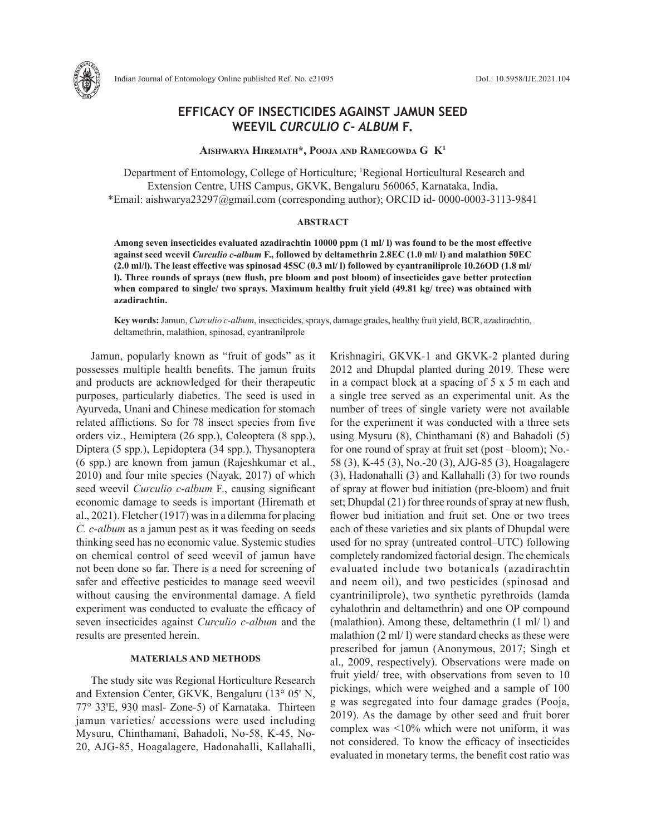

# **EFFICACY OF INSECTICIDES AGAINST JAMUN SEED WEEVIL** *CURCULIO C- ALBUM* **F.**

**Aishwarya Hiremath\*, Pooja and Ramegowda G K1**

Department of Entomology, College of Horticulture; <sup>1</sup>Regional Horticultural Research and Extension Centre, UHS Campus, GKVK, Bengaluru 560065, Karnataka, India, \*Email: aishwarya23297@gmail.com (corresponding author); ORCID id- 0000-0003-3113-9841

#### **ABSTRACT**

**Among seven insecticides evaluated azadirachtin 10000 ppm (1 ml/ l) was found to be the most effective against seed weevil** *Curculio c-album* **F., followed by deltamethrin 2.8EC (1.0 ml/ l) and malathion 50EC (2.0 ml/l). The least effective was spinosad 45SC (0.3 ml/ l) followed by cyantraniliprole 10.26OD (1.8 ml/ l). Three rounds of sprays (new flush, pre bloom and post bloom) of insecticides gave better protection when compared to single/ two sprays. Maximum healthy fruit yield (49.81 kg/ tree) was obtained with azadirachtin.** 

**Key words:** Jamun, *Curculio c-album*, insecticides, sprays, damage grades, healthy fruit yield, BCR, azadirachtin, deltamethrin, malathion, spinosad, cyantranilprole

Jamun, popularly known as "fruit of gods" as it possesses multiple health benefits. The jamun fruits and products are acknowledged for their therapeutic purposes, particularly diabetics. The seed is used in Ayurveda, Unani and Chinese medication for stomach related afflictions. So for 78 insect species from five orders viz*.*, Hemiptera (26 spp.), Coleoptera (8 spp.), Diptera (5 spp.), Lepidoptera (34 spp.), Thysanoptera (6 spp.) are known from jamun (Rajeshkumar et al., 2010) and four mite species (Nayak, 2017) of which seed weevil *Curculio c-album* F., causing significant economic damage to seeds is important (Hiremath et al., 2021). Fletcher (1917) was in a dilemma for placing *C. c-album* as a jamun pest as it was feeding on seeds thinking seed has no economic value. Systemic studies on chemical control of seed weevil of jamun have not been done so far. There is a need for screening of safer and effective pesticides to manage seed weevil without causing the environmental damage. A field experiment was conducted to evaluate the efficacy of seven insecticides against *Curculio c-album* and the results are presented herein.

### **MATERIALS AND METHODS**

The study site was Regional Horticulture Research and Extension Center, GKVK, Bengaluru (13° 05' N, 77° 33'E, 930 masl- Zone-5) of Karnataka. Thirteen jamun varieties/ accessions were used including Mysuru, Chinthamani, Bahadoli, No-58, K-45, No-20, AJG-85, Hoagalagere, Hadonahalli, Kallahalli, Krishnagiri, GKVK-1 and GKVK-2 planted during 2012 and Dhupdal planted during 2019. These were in a compact block at a spacing of 5 x 5 m each and a single tree served as an experimental unit. As the number of trees of single variety were not available for the experiment it was conducted with a three sets using Mysuru (8), Chinthamani (8) and Bahadoli (5) for one round of spray at fruit set (post –bloom); No.- 58 (3), K-45 (3), No.-20 (3), AJG-85 (3), Hoagalagere (3), Hadonahalli (3) and Kallahalli (3) for two rounds of spray at flower bud initiation (pre-bloom) and fruit set; Dhupdal (21) for three rounds of spray at new flush, flower bud initiation and fruit set. One or two trees each of these varieties and six plants of Dhupdal were used for no spray (untreated control–UTC) following completely randomized factorial design. The chemicals evaluated include two botanicals (azadirachtin and neem oil), and two pesticides (spinosad and cyantriniliprole), two synthetic pyrethroids (lamda cyhalothrin and deltamethrin) and one OP compound (malathion). Among these, deltamethrin (1 ml/ l) and malathion (2 ml/ l) were standard checks as these were prescribed for jamun (Anonymous, 2017; Singh et al., 2009, respectively). Observations were made on fruit yield/ tree, with observations from seven to 10 pickings, which were weighed and a sample of 100 g was segregated into four damage grades (Pooja, 2019). As the damage by other seed and fruit borer complex was <10% which were not uniform, it was not considered. To know the efficacy of insecticides evaluated in monetary terms, the benefit cost ratio was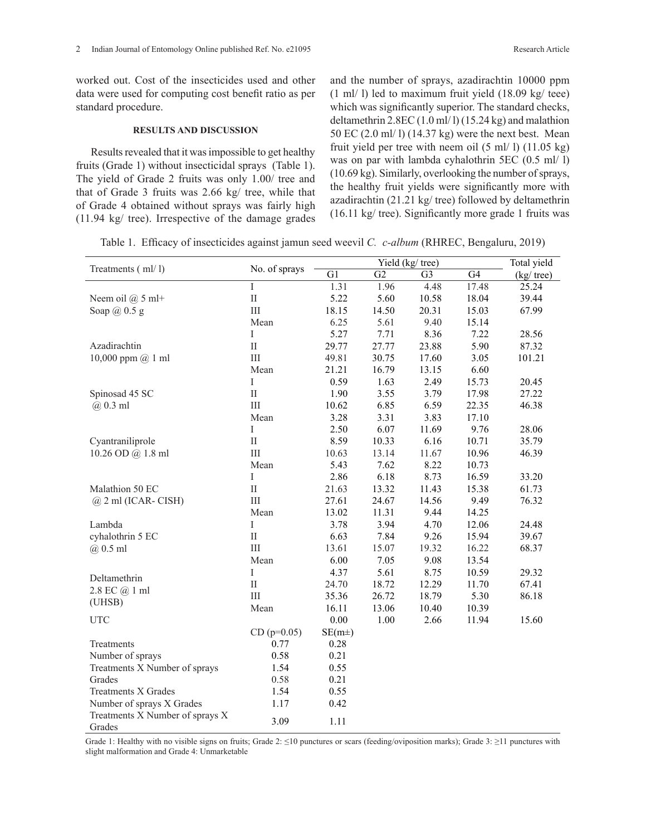worked out. Cost of the insecticides used and other data were used for computing cost benefit ratio as per standard procedure.

### **RESULTS AND DISCUSSION**

Results revealed that it was impossible to get healthy fruits (Grade 1) without insecticidal sprays (Table 1). The yield of Grade 2 fruits was only 1.00/ tree and that of Grade 3 fruits was 2.66 kg/ tree, while that of Grade 4 obtained without sprays was fairly high (11.94 kg/ tree). Irrespective of the damage grades and the number of sprays, azadirachtin 10000 ppm (1 ml/ l) led to maximum fruit yield (18.09 kg/ teee) which was significantly superior. The standard checks, deltamethrin 2.8EC (1.0 ml/ l) (15.24 kg) and malathion 50 EC (2.0 ml/ l) (14.37 kg) were the next best. Mean fruit yield per tree with neem oil  $(5 \text{ ml}/ 1)$   $(11.05 \text{ kg})$ was on par with lambda cyhalothrin 5EC (0.5 ml/ l) (10.69 kg). Similarly, overlooking the number of sprays, the healthy fruit yields were significantly more with azadirachtin (21.21 kg/ tree) followed by deltamethrin (16.11 kg/ tree). Significantly more grade 1 fruits was

Table 1. Efficacy of insecticides against jamun seed weevil *C. c-album* (RHREC, Bengaluru, 2019)

|                                 |                             |            |       | Yield (kg/ tree) |       | Total yield |
|---------------------------------|-----------------------------|------------|-------|------------------|-------|-------------|
| Treatments (ml/l)               | No. of sprays               | G1         | G2    | G <sub>3</sub>   | G4    | (kg/ tree)  |
|                                 | Ī                           | 1.31       | 1.96  | 4.48             | 17.48 | 25.24       |
| Neem oil $(a)$ 5 ml+            | $\rm II$                    | 5.22       | 5.60  | 10.58            | 18.04 | 39.44       |
| Soap $(a)$ 0.5 g                | $\rm III$                   | 18.15      | 14.50 | 20.31            | 15.03 | 67.99       |
|                                 | Mean                        | 6.25       | 5.61  | 9.40             | 15.14 |             |
|                                 | Ι                           | 5.27       | 7.71  | 8.36             | 7.22  | 28.56       |
| Azadirachtin                    | $\mathbf{I}$                | 29.77      | 27.77 | 23.88            | 5.90  | 87.32       |
| 10,000 ppm $@$ 1 ml             | $\mathop{\rm III}\nolimits$ | 49.81      | 30.75 | 17.60            | 3.05  | 101.21      |
|                                 | Mean                        | 21.21      | 16.79 | 13.15            | 6.60  |             |
|                                 | $\bf{I}$                    | 0.59       | 1.63  | 2.49             | 15.73 | 20.45       |
| Spinosad 45 SC                  | $\rm II$                    | 1.90       | 3.55  | 3.79             | 17.98 | 27.22       |
| $(a)$ 0.3 ml                    | $\rm III$                   | 10.62      | 6.85  | 6.59             | 22.35 | 46.38       |
|                                 | Mean                        | 3.28       | 3.31  | 3.83             | 17.10 |             |
|                                 | I                           | 2.50       | 6.07  | 11.69            | 9.76  | 28.06       |
| Cyantraniliprole                | $\rm II$                    | 8.59       | 10.33 | 6.16             | 10.71 | 35.79       |
| 10.26 OD @ 1.8 ml               | $\rm III$                   | 10.63      | 13.14 | 11.67            | 10.96 | 46.39       |
|                                 | Mean                        | 5.43       | 7.62  | 8.22             | 10.73 |             |
|                                 | $\bf{I}$                    | 2.86       | 6.18  | 8.73             | 16.59 | 33.20       |
| Malathion 50 EC                 | $\rm II$                    | 21.63      | 13.32 | 11.43            | 15.38 | 61.73       |
| $@$ 2 ml (ICAR-CISH)            | Ш                           | 27.61      | 24.67 | 14.56            | 9.49  | 76.32       |
|                                 | Mean                        | 13.02      | 11.31 | 9.44             | 14.25 |             |
| Lambda                          | $\bf{I}$                    | 3.78       | 3.94  | 4.70             | 12.06 | 24.48       |
| cyhalothrin 5 EC                | $\rm II$                    | 6.63       | 7.84  | 9.26             | 15.94 | 39.67       |
| $(a)$ 0.5 ml                    | $\rm III$                   | 13.61      | 15.07 | 19.32            | 16.22 | 68.37       |
|                                 | Mean                        | 6.00       | 7.05  | 9.08             | 13.54 |             |
|                                 | $\rm I$                     | 4.37       | 5.61  | 8.75             | 10.59 | 29.32       |
| Deltamethrin                    | $\rm II$                    | 24.70      | 18.72 | 12.29            | 11.70 | 67.41       |
| 2.8 EC @ 1 ml                   | Ш                           | 35.36      | 26.72 | 18.79            | 5.30  | 86.18       |
| (UHSB)                          | Mean                        | 16.11      | 13.06 | 10.40            | 10.39 |             |
| <b>UTC</b>                      |                             | 0.00       | 1.00  | 2.66             | 11.94 | 15.60       |
|                                 | $CD (p=0.05)$               | $SE(m\pm)$ |       |                  |       |             |
| Treatments                      | 0.77                        | 0.28       |       |                  |       |             |
| Number of sprays                | 0.58                        | 0.21       |       |                  |       |             |
| Treatments X Number of sprays   | 1.54                        | 0.55       |       |                  |       |             |
| Grades                          | 0.58                        | 0.21       |       |                  |       |             |
| <b>Treatments X Grades</b>      | 1.54                        | 0.55       |       |                  |       |             |
| Number of sprays X Grades       | 1.17                        | 0.42       |       |                  |       |             |
| Treatments X Number of sprays X |                             |            |       |                  |       |             |
| Grades                          | 3.09                        | 1.11       |       |                  |       |             |

Grade 1: Healthy with no visible signs on fruits; Grade 2: ≤10 punctures or scars (feeding/oviposition marks); Grade 3: ≥11 punctures with slight malformation and Grade 4: Unmarketable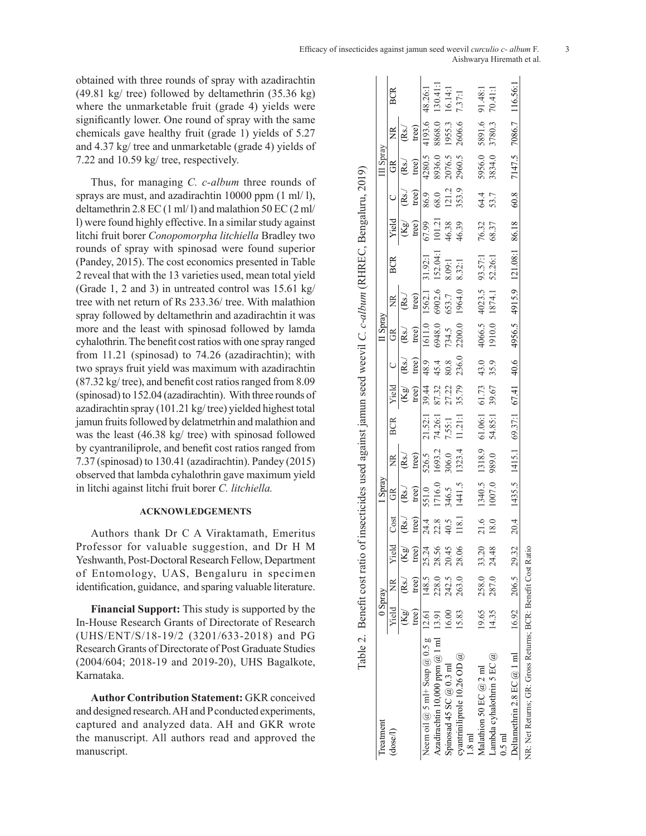obtained with three rounds of spray with azadirachtin (49.81 kg/ tree) followed by deltamethrin (35.36 kg) where the unmarketable fruit (grade 4) yields were significantly lower. One round of spray with the same chemicals gave healthy fruit (grade 1) yields of 5.27 and 4.37 kg/ tree and unmarketable (grade 4) yields of 7.22 and 10.59 kg/ tree, respectively.

Thus, for managing *C. c-album* three rounds of sprays are must, and azadirachtin 10000 ppm (1 ml/ l), deltamethrin 2.8 EC (1 ml/ l) and malathion 50 EC (2 ml/ l) were found highly effective. In a similar study against litchi fruit borer *Conopomorpha litchiella* Bradley two rounds of spray with spinosad were found superior (Pandey, 2015). The cost economics presented in Table 2 reveal that with the 13 varieties used, mean total yield (Grade 1, 2 and 3) in untreated control was 15.61 kg/ tree with net return of Rs 233.36/ tree. With malathion spray followed by deltamethrin and azadirachtin it was more and the least with spinosad followed by lamda cyhalothrin. The benefit cost ratios with one spray ranged from 11.21 (spinosad) to 74.26 (azadirachtin); with two sprays fruit yield was maximum with azadirachtin (87.32 kg/ tree), and benefit cost ratios ranged from 8.09 (spinosad) to 152.04 (azadirachtin). With three rounds of azadirachtin spray (101.21 kg/ tree) yielded highest total jamun fruits followed by delatmetrhin and malathion and was the least (46.38 kg/ tree) with spinosad followed by cyantraniliprole, and benefit cost ratios ranged from 7.37 (spinosad) to 130.41 (azadirachtin). Pandey (2015) observed that lambda cyhalothrin gave maximum yield in litchi against litchi fruit borer *C. litchiella.*

## **ACKNOWLEDGEMENTS**

Authors thank Dr C A Viraktamath, Emeritus Professor for valuable suggestion, and Dr H M Yeshwanth, Post-Doctoral Research Fellow, Department of Entomology, UAS, Bengaluru in specimen identification, guidance, and sparing valuable literature.

**Financial Support:** This study is supported by the In-House Research Grants of Directorate of Research (UHS/ENT/S/18-19/2 (3201/633-2018) and PG Research Grants of Directorate of Post Graduate Studies (2004/604; 2018-19 and 2019-20), UHS Bagalkote, Karnataka.

**Author Contribution Statement:** GKR conceived and designed research. AH and P conducted experiments, captured and analyzed data. AH and GKR wrote the manuscript. All authors read and approved the manuscript.

|                                                             |                         |                                                 |       |       |                 |                                    |                                |                                  |                                     |                                                                        |                  | Table 2. Benefit cost ratio of insecticides used against jamun seed weevil C. c-album (RHREC, Bengaluru, 2019) |                          |                                |                    |                              |            |
|-------------------------------------------------------------|-------------------------|-------------------------------------------------|-------|-------|-----------------|------------------------------------|--------------------------------|----------------------------------|-------------------------------------|------------------------------------------------------------------------|------------------|----------------------------------------------------------------------------------------------------------------|--------------------------|--------------------------------|--------------------|------------------------------|------------|
| Treatment                                                   | 0 Spray                 |                                                 |       |       | I Spray         |                                    |                                |                                  |                                     | $II$ Spray                                                             |                  |                                                                                                                |                          |                                | III Spray          |                              |            |
| (dosel)                                                     |                         | Yield NR Yield                                  |       | Cost  | GR              | ž                                  | <b>BCR</b>                     | Yield                            | $\cup$                              | GR                                                                     | ž                | BCR                                                                                                            | Yield                    |                                | E                  | ž                            | <b>BCR</b> |
|                                                             |                         | $\mathbb{R}$ g/ $\mathbb{R}$ s./ $\mathbb{R}$ g |       | (Rs)  | (Rs.)           | (Rs)                               |                                |                                  | $(Kg)$ $(Rs)$<br>tree) tree)        | (Rs)                                                                   | (Rs)             |                                                                                                                | $(\mathsf{Kg})$          | (Rs)                           | $\rm \mathit{Rs}.$ | $\left( \mathrm{Rs.}\right)$ |            |
|                                                             | tree)                   | tree)                                           | tree) | tree) | tree)           | tree)                              |                                |                                  | tree)                               | tree)                                                                  | tree)            |                                                                                                                | tree)                    | tree)                          | tree)              | tree)                        |            |
| Neem oil $@$ 5 ml+ Soap $@$ 0.5 g 12.61 148.5 25.24         |                         |                                                 |       | 24.4  |                 |                                    | 21.52:1                        |                                  |                                     |                                                                        |                  | 31.92:1                                                                                                        | 67.99                    |                                |                    | 4193.6                       | 48.26:1    |
| Azadirachtin 10,000 ppm $@$ 1 ml 13.91                      |                         | 228.0 28.56                                     |       | 22.8  | 551.0<br>1716.0 | 526.5<br>1693.2<br>306.0<br>1323.4 | 74.26:1                        | 39.44<br>87.32<br>27.22<br>35.79 | $489$<br>$454$<br>$80.8$<br>$236.0$ |                                                                        |                  | $152.04:1$ <sup>1</sup><br>8.09:1                                                                              |                          | 86.9<br>68.0<br>121.2<br>353.9 | 4280.5<br>8936.0   | 8868.0                       | 130.41:1   |
| Spinosad 45 SC $@$ 0.3 ml                                   | 16.00                   | 242.5 20.45                                     |       | 40.5  |                 |                                    | 7.55:1                         |                                  |                                     |                                                                        |                  |                                                                                                                |                          |                                | 2076.5<br>2960.5   | 1955.3<br>2606.6             | 16.14:1    |
| cyantriniliprole $10.26$ OD $@$<br>$\overline{1.8}$ md      | 15.83                   | 263.0                                           | 28.06 | 118.1 | 346.5<br>1441.5 |                                    | 11.21:1                        |                                  |                                     | 1611.0 1562.1 3<br>6948.0 6902.6 1<br>734.5 653.7 8<br>2200.0 1964.0 8 |                  | 8.32:1                                                                                                         | 101.21<br>46.38<br>46.39 |                                |                    |                              | 7.37:1     |
| Malathion 50 EC $@2$ ml                                     |                         | $19.65$ $258.0$ 33.20                           |       | 21.6  | 1340.5          | 1318.9 $\sim$                      | 61.06:1 61.73<br>54.85:1 39.67 |                                  | 43.0<br>35.9                        | 4066.5                                                                 | 4023.5<br>1874.1 | 93.57:1<br>52.26:1                                                                                             | 76.32<br>68.37           | 64.4<br>53.7                   | 5956.0<br>3834.0   | 5891.6<br>3780.3             | 91.48:1    |
| Lambda cyhalothrin 5 EC @<br>$0.5$ ml                       | 14.35                   | 287.0 24.48                                     |       | 18.0  | 1007.0          | 989.0                              |                                |                                  |                                     |                                                                        |                  |                                                                                                                |                          |                                |                    |                              | 70.41:1    |
| Deltamethrin 2.8 EC $@$ 1 ml                                | $16.92$ $206.5$ $29.32$ |                                                 |       | 20.4  |                 |                                    |                                |                                  |                                     |                                                                        |                  | 1435.5 1415.1 69.37:1 67.41 40.6 4956.5 4915.9 121.08:1 86.18                                                  |                          | 60.8                           |                    | 7147.5 7086.7 116.56:1       |            |
| NR: Net Returns; GR: Gross Returns; BCR: Benefit Cost Ratio |                         |                                                 |       |       |                 |                                    |                                |                                  |                                     |                                                                        |                  |                                                                                                                |                          |                                |                    |                              |            |